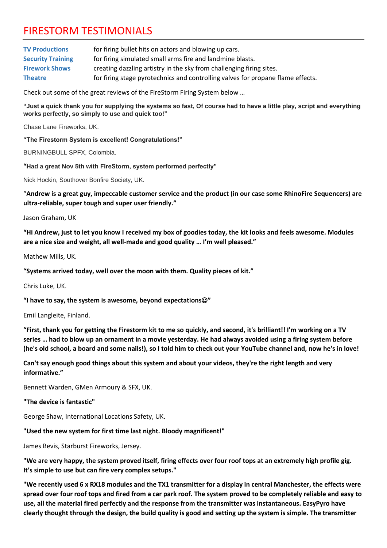## FIRESTORM TESTIMONIALS

| <b>TV Productions</b>    | for firing bullet hits on actors and blowing up cars.                           |
|--------------------------|---------------------------------------------------------------------------------|
| <b>Security Training</b> | for firing simulated small arms fire and landmine blasts.                       |
| <b>Firework Shows</b>    | creating dazzling artistry in the sky from challenging firing sites.            |
| <b>Theatre</b>           | for firing stage pyrotechnics and controlling valves for propane flame effects. |

Check out some of the great reviews of the FireStorm Firing System below …

**"Just a quick thank you for supplying the systems so fast, Of course had to have a little play, script and everything works perfectly, so simply to use and quick too!"**

Chase Lane Fireworks, UK.

**"The Firestorm System is excellent! Congratulations!"**

BURNINGBULL SPFX, Colombia.

**"Had a great Nov 5th with FireStorm, system performed perfectly"**

Nick Hockin, Southover Bonfire Society, UK.

"**Andrew is a great guy, impeccable customer service and the product (in our case some RhinoFire Sequencers) are ultra-reliable, super tough and super user friendly."**

Jason Graham, UK

**"Hi Andrew, just to let you know I received my box of goodies today, the kit looks and feels awesome. Modules are a nice size and weight, all well-made and good quality … I'm well pleased."**

Mathew Mills, UK.

**"Systems arrived today, well over the moon with them. Quality pieces of kit."**

Chris Luke, UK.

**"I have to say, the system is awesome, beyond expectations**☺**"**

Emil Langleite, Finland.

**"First, thank you for getting the Firestorm kit to me so quickly, and second, it's brilliant!! I'm working on a TV series … had to blow up an ornament in a movie yesterday. He had always avoided using a firing system before (he's old school, a board and some nails!), so I told him to check out your YouTube channel and, now he's in love!**

**Can't say enough good things about this system and about your videos, they're the right length and very informative."**

Bennett Warden, GMen Armoury & SFX, UK.

**"The device is fantastic"**

George Shaw, International Locations Safety, UK.

## **"Used the new system for first time last night. Bloody magnificent!"**

James Bevis, Starburst Fireworks, Jersey.

**"We are very happy, the system proved itself, firing effects over four roof tops at an extremely high profile gig. It's simple to use but can fire very complex setups."**

**"We recently used 6 x RX18 modules and the TX1 transmitter for a display in central Manchester, the effects were spread over four roof tops and fired from a car park roof. The system proved to be completely reliable and easy to use, all the material fired perfectly and the response from the transmitter was instantaneous. EasyPyro have clearly thought through the design, the build quality is good and setting up the system is simple. The transmitter**